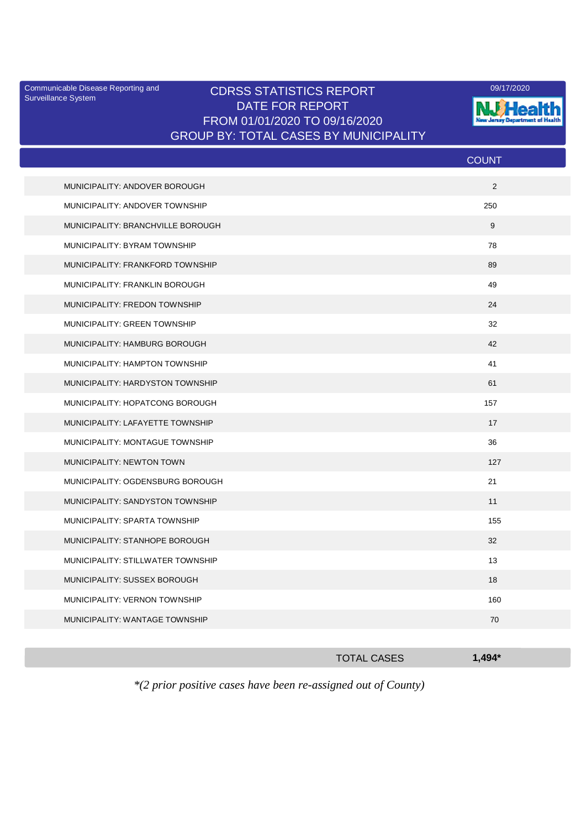Surveillance System

## Communicable Disease Reporting and CDRSS STATISTICS REPORT [1999] 09/17/2020<br>Surveillance System DATE FOR REPORT FROM 01/01/2020 TO 09/16/2020 GROUP BY: TOTAL CASES BY MUNICIPALITY



|                                   | <b>COUNT</b> |
|-----------------------------------|--------------|
| MUNICIPALITY: ANDOVER BOROUGH     | 2            |
| MUNICIPALITY: ANDOVER TOWNSHIP    | 250          |
| MUNICIPALITY: BRANCHVILLE BOROUGH | 9            |
| MUNICIPALITY: BYRAM TOWNSHIP      | 78           |
| MUNICIPALITY: FRANKFORD TOWNSHIP  | 89           |
| MUNICIPALITY: FRANKLIN BOROUGH    | 49           |
| MUNICIPALITY: FREDON TOWNSHIP     | 24           |
| MUNICIPALITY: GREEN TOWNSHIP      | 32           |
| MUNICIPALITY: HAMBURG BOROUGH     | 42           |
| MUNICIPALITY: HAMPTON TOWNSHIP    | 41           |
| MUNICIPALITY: HARDYSTON TOWNSHIP  | 61           |
| MUNICIPALITY: HOPATCONG BOROUGH   | 157          |
| MUNICIPALITY: LAFAYETTE TOWNSHIP  | 17           |
| MUNICIPALITY: MONTAGUE TOWNSHIP   | 36           |
| <b>MUNICIPALITY: NEWTON TOWN</b>  | 127          |
| MUNICIPALITY: OGDENSBURG BOROUGH  | 21           |
| MUNICIPALITY: SANDYSTON TOWNSHIP  | 11           |
| MUNICIPALITY: SPARTA TOWNSHIP     | 155          |
| MUNICIPALITY: STANHOPE BOROUGH    | 32           |
| MUNICIPALITY: STILLWATER TOWNSHIP | 13           |
| MUNICIPALITY: SUSSEX BOROUGH      | 18           |
| MUNICIPALITY: VERNON TOWNSHIP     | 160          |
| MUNICIPALITY: WANTAGE TOWNSHIP    | 70           |
|                                   |              |

|              |  | <b>TOTAL CASES</b>    |  |  |  | $1,494*$ |  |  |  |  |
|--------------|--|-----------------------|--|--|--|----------|--|--|--|--|
| $\mathbf{A}$ |  | $\bullet$ . $\bullet$ |  |  |  | $\sim$   |  |  |  |  |

*\*(2 prior positive cases have been re-assigned out of County)*